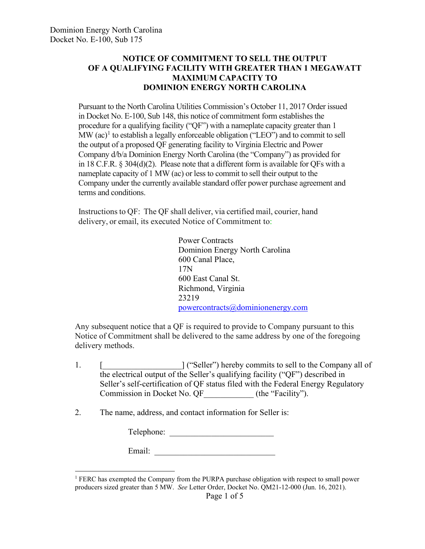## **NOTICE OF COMMITMENT TO SELL THE OUTPUT OF A QUALIFYING FACILITY WITH GREATER THAN 1 MEGAWATT MAXIMUM CAPACITY TO DOMINION ENERGY NORTH CAROLINA**

Pursuant to the North Carolina Utilities Commission's October 11, 2017 Order issued in Docket No. E-100, Sub 148, this notice of commitment form establishes the procedure for a qualifying facility ("QF") with a nameplate capacity greater than 1 MW  $(ac)^1$  $(ac)^1$  to establish a legally enforceable obligation ("LEO") and to commit to sell the output of a proposed QF generating facility to Virginia Electric and Power Company d/b/a Dominion Energy North Carolina (the "Company") as provided for in 18 C.F.R. § 304(d)(2). Please note that a different form is available for QFs with a nameplate capacity of 1 MW (ac) or less to commit to sell their output to the Company under the currently available standard offer power purchase agreement and terms and conditions.

Instructions to QF: The QF shall deliver, via certified mail, courier, hand delivery, or email, its executed Notice of Commitment to:

> Power Contracts Dominion Energy North Carolina 600 Canal Place, 17N 600 East Canal St. Richmond, Virginia 23219 [powercontracts@dominionenergy.com](mailto:powercontracts@dominionenergy.com)

Any subsequent notice that a QF is required to provide to Company pursuant to this Notice of Commitment shall be delivered to the same address by one of the foregoing delivery methods.

1. [  $\blacksquare$  [  $\blacksquare$   $\blacksquare$   $\blacksquare$   $\blacksquare$   $\blacksquare$   $\blacksquare$   $\blacksquare$   $\blacksquare$   $\blacksquare$   $\blacksquare$   $\blacksquare$   $\blacksquare$   $\blacksquare$   $\blacksquare$   $\blacksquare$   $\blacksquare$   $\blacksquare$   $\blacksquare$   $\blacksquare$   $\blacksquare$   $\blacksquare$   $\blacksquare$   $\blacksquare$   $\blacksquare$   $\blacksquare$   $\blacksquare$   $\blacksquare$   $\blacksquare$   $\blacksquare$   $\blacksquare$ the electrical output of the Seller's qualifying facility ("QF") described in Seller's self-certification of QF status filed with the Federal Energy Regulatory Commission in Docket No. QF (the "Facility").

2. The name, address, and contact information for Seller is:

Telephone: \_\_\_\_\_\_\_\_\_\_\_\_\_\_\_\_\_\_\_\_\_\_\_\_\_

| Email: |
|--------|
|--------|

<span id="page-0-0"></span> $<sup>1</sup>$  FERC has exempted the Company from the PURPA purchase obligation with respect to small power</sup> producers sized greater than 5 MW. *See* Letter Order, Docket No. QM21-12-000 (Jun. 16, 2021).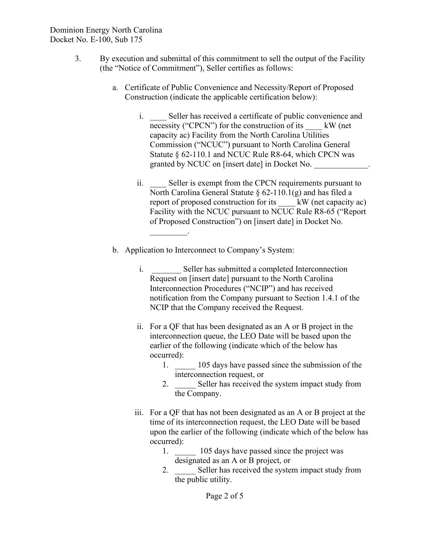- 3. By execution and submittal of this commitment to sell the output of the Facility (the "Notice of Commitment"), Seller certifies as follows:
	- a. Certificate of Public Convenience and Necessity/Report of Proposed Construction (indicate the applicable certification below):
		- i. Seller has received a certificate of public convenience and necessity ("CPCN") for the construction of its  $\quad$  kW (net capacity ac) Facility from the North Carolina Utilities Commission ("NCUC") pursuant to North Carolina General Statute § 62-110.1 and NCUC Rule R8-64, which CPCN was granted by NCUC on [insert date] in Docket No.
		- ii. Seller is exempt from the CPCN requirements pursuant to North Carolina General Statute  $\S$  62-110.1(g) and has filed a<br>report of proposed construction for its kW (net capacity ac) report of proposed construction for its Facility with the NCUC pursuant to NCUC Rule R8-65 ("Report of Proposed Construction") on [insert date] in Docket No.  $\mathcal{L}_\text{max}$
	- b. Application to Interconnect to Company's System:
		- i. Seller has submitted a completed Interconnection Request on [insert date] pursuant to the North Carolina Interconnection Procedures ("NCIP") and has received notification from the Company pursuant to Section 1.4.1 of the NCIP that the Company received the Request.
		- ii. For a QF that has been designated as an A or B project in the interconnection queue, the LEO Date will be based upon the earlier of the following (indicate which of the below has occurred):
			- 1.  $\Box$  105 days have passed since the submission of the interconnection request, or
			- 2. Seller has received the system impact study from the Company.
		- iii. For a QF that has not been designated as an A or B project at the time of its interconnection request, the LEO Date will be based upon the earlier of the following (indicate which of the below has occurred):
			- 1.  $105$  days have passed since the project was designated as an A or B project, or
			- 2. Seller has received the system impact study from the public utility.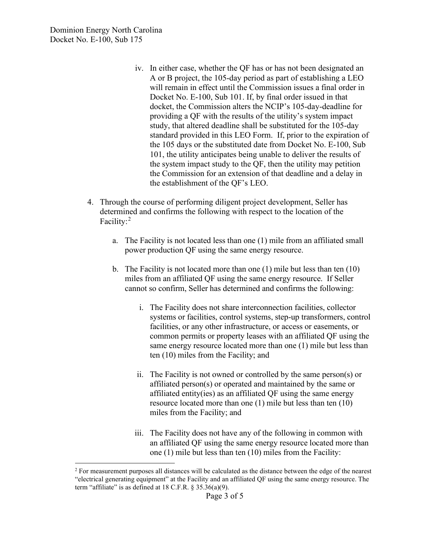- iv. In either case, whether the QF has or has not been designated an A or B project, the 105-day period as part of establishing a LEO will remain in effect until the Commission issues a final order in Docket No. E-100, Sub 101. If, by final order issued in that docket, the Commission alters the NCIP's 105-day-deadline for providing a QF with the results of the utility's system impact study, that altered deadline shall be substituted for the 105-day standard provided in this LEO Form. If, prior to the expiration of the 105 days or the substituted date from Docket No. E-100, Sub 101, the utility anticipates being unable to deliver the results of the system impact study to the QF, then the utility may petition the Commission for an extension of that deadline and a delay in the establishment of the QF's LEO.
- 4. Through the course of performing diligent project development, Seller has determined and confirms the following with respect to the location of the Facility:<sup>[2](#page-2-0)</sup>
	- a. The Facility is not located less than one (1) mile from an affiliated small power production QF using the same energy resource.
	- b. The Facility is not located more than one (1) mile but less than ten (10) miles from an affiliated QF using the same energy resource. If Seller cannot so confirm, Seller has determined and confirms the following:
		- i. The Facility does not share interconnection facilities, collector systems or facilities, control systems, step-up transformers, control facilities, or any other infrastructure, or access or easements, or common permits or property leases with an affiliated QF using the same energy resource located more than one (1) mile but less than ten (10) miles from the Facility; and
		- ii. The Facility is not owned or controlled by the same person(s) or affiliated person(s) or operated and maintained by the same or affiliated entity(ies) as an affiliated QF using the same energy resource located more than one (1) mile but less than ten (10) miles from the Facility; and
		- iii. The Facility does not have any of the following in common with an affiliated QF using the same energy resource located more than one (1) mile but less than ten (10) miles from the Facility:

<span id="page-2-0"></span><sup>&</sup>lt;sup>2</sup> For measurement purposes all distances will be calculated as the distance between the edge of the nearest "electrical generating equipment" at the Facility and an affiliated QF using the same energy resource. The term "affiliate" is as defined at  $18$  C.F.R.  $\S 35.36(a)(9)$ .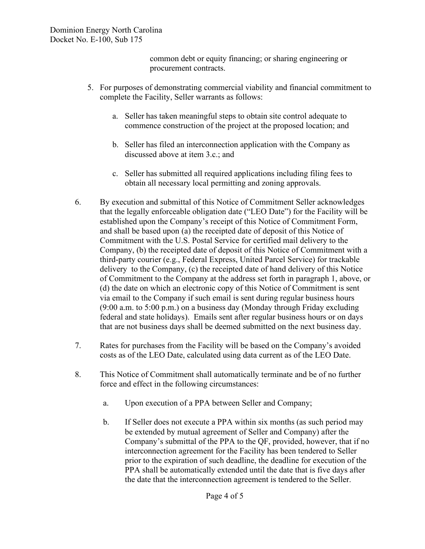common debt or equity financing; or sharing engineering or procurement contracts.

- 5. For purposes of demonstrating commercial viability and financial commitment to complete the Facility, Seller warrants as follows:
	- a. Seller has taken meaningful steps to obtain site control adequate to commence construction of the project at the proposed location; and
	- b. Seller has filed an interconnection application with the Company as discussed above at item 3.c.; and
	- c. Seller has submitted all required applications including filing fees to obtain all necessary local permitting and zoning approvals.
- 6. By execution and submittal of this Notice of Commitment Seller acknowledges that the legally enforceable obligation date ("LEO Date") for the Facility will be established upon the Company's receipt of this Notice of Commitment Form, and shall be based upon (a) the receipted date of deposit of this Notice of Commitment with the U.S. Postal Service for certified mail delivery to the Company, (b) the receipted date of deposit of this Notice of Commitment with a third-party courier (e.g., Federal Express, United Parcel Service) for trackable delivery to the Company, (c) the receipted date of hand delivery of this Notice of Commitment to the Company at the address set forth in paragraph 1, above, or (d) the date on which an electronic copy of this Notice of Commitment is sent via email to the Company if such email is sent during regular business hours (9:00 a.m. to 5:00 p.m.) on a business day (Monday through Friday excluding federal and state holidays). Emails sent after regular business hours or on days that are not business days shall be deemed submitted on the next business day.
- 7. Rates for purchases from the Facility will be based on the Company's avoided costs as of the LEO Date, calculated using data current as of the LEO Date.
- 8. This Notice of Commitment shall automatically terminate and be of no further force and effect in the following circumstances:
	- a. Upon execution of a PPA between Seller and Company;
	- b. If Seller does not execute a PPA within six months (as such period may be extended by mutual agreement of Seller and Company) after the Company's submittal of the PPA to the QF, provided, however, that if no interconnection agreement for the Facility has been tendered to Seller prior to the expiration of such deadline, the deadline for execution of the PPA shall be automatically extended until the date that is five days after the date that the interconnection agreement is tendered to the Seller.